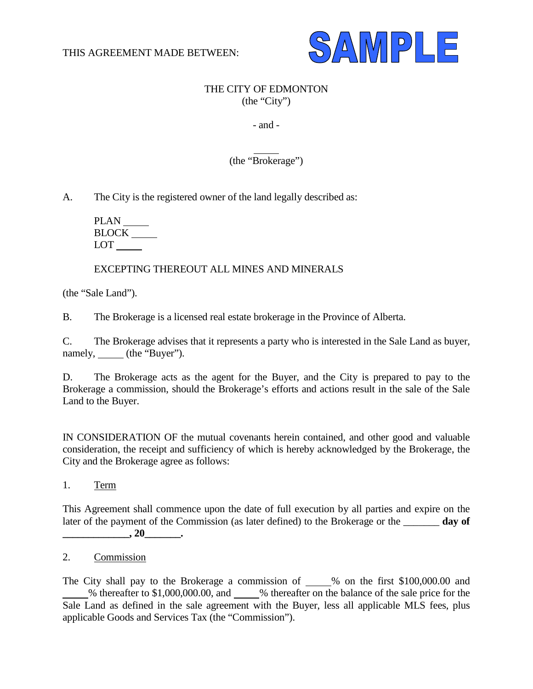

# THE CITY OF EDMONTON (the "City")

## - and -

 $\overline{a}$ (the "Brokerage")

A. The City is the registered owner of the land legally described as:

PLAN **BLOCK** LOT

## EXCEPTING THEREOUT ALL MINES AND MINERALS

(the "Sale Land").

B. The Brokerage is a licensed real estate brokerage in the Province of Alberta.

C. The Brokerage advises that it represents a party who is interested in the Sale Land as buyer, namely, (the "Buyer").

D. The Brokerage acts as the agent for the Buyer, and the City is prepared to pay to the Brokerage a commission, should the Brokerage's efforts and actions result in the sale of the Sale Land to the Buyer.

IN CONSIDERATION OF the mutual covenants herein contained, and other good and valuable consideration, the receipt and sufficiency of which is hereby acknowledged by the Brokerage, the City and the Brokerage agree as follows:

1. Term

This Agreement shall commence upon the date of full execution by all parties and expire on the later of the payment of the Commission (as later defined) to the Brokerage or the \_\_\_\_\_\_\_ **day of \_\_\_\_\_\_\_\_\_\_\_\_\_, 20\_\_\_\_\_\_\_.**

# 2. Commission

The City shall pay to the Brokerage a commission of  $\_\_\%$  on the first \$100,000.00 and % thereafter to \$1,000,000.00, and % thereafter on the balance of the sale price for the Sale Land as defined in the sale agreement with the Buyer, less all applicable MLS fees, plus applicable Goods and Services Tax (the "Commission").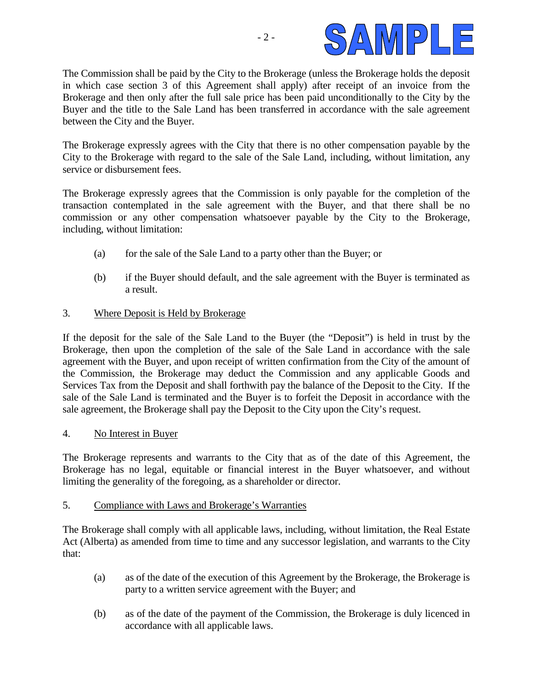

The Commission shall be paid by the City to the Brokerage (unless the Brokerage holds the deposit in which case section 3 of this Agreement shall apply) after receipt of an invoice from the Brokerage and then only after the full sale price has been paid unconditionally to the City by the Buyer and the title to the Sale Land has been transferred in accordance with the sale agreement between the City and the Buyer.

The Brokerage expressly agrees with the City that there is no other compensation payable by the City to the Brokerage with regard to the sale of the Sale Land, including, without limitation, any service or disbursement fees.

The Brokerage expressly agrees that the Commission is only payable for the completion of the transaction contemplated in the sale agreement with the Buyer, and that there shall be no commission or any other compensation whatsoever payable by the City to the Brokerage, including, without limitation:

- (a) for the sale of the Sale Land to a party other than the Buyer; or
- (b) if the Buyer should default, and the sale agreement with the Buyer is terminated as a result.

## 3. Where Deposit is Held by Brokerage

If the deposit for the sale of the Sale Land to the Buyer (the "Deposit") is held in trust by the Brokerage, then upon the completion of the sale of the Sale Land in accordance with the sale agreement with the Buyer, and upon receipt of written confirmation from the City of the amount of the Commission, the Brokerage may deduct the Commission and any applicable Goods and Services Tax from the Deposit and shall forthwith pay the balance of the Deposit to the City. If the sale of the Sale Land is terminated and the Buyer is to forfeit the Deposit in accordance with the sale agreement, the Brokerage shall pay the Deposit to the City upon the City's request.

#### 4. No Interest in Buyer

The Brokerage represents and warrants to the City that as of the date of this Agreement, the Brokerage has no legal, equitable or financial interest in the Buyer whatsoever, and without limiting the generality of the foregoing, as a shareholder or director.

#### 5. Compliance with Laws and Brokerage's Warranties

The Brokerage shall comply with all applicable laws, including, without limitation, the Real Estate Act (Alberta) as amended from time to time and any successor legislation, and warrants to the City that:

- (a) as of the date of the execution of this Agreement by the Brokerage, the Brokerage is party to a written service agreement with the Buyer; and
- (b) as of the date of the payment of the Commission, the Brokerage is duly licenced in accordance with all applicable laws.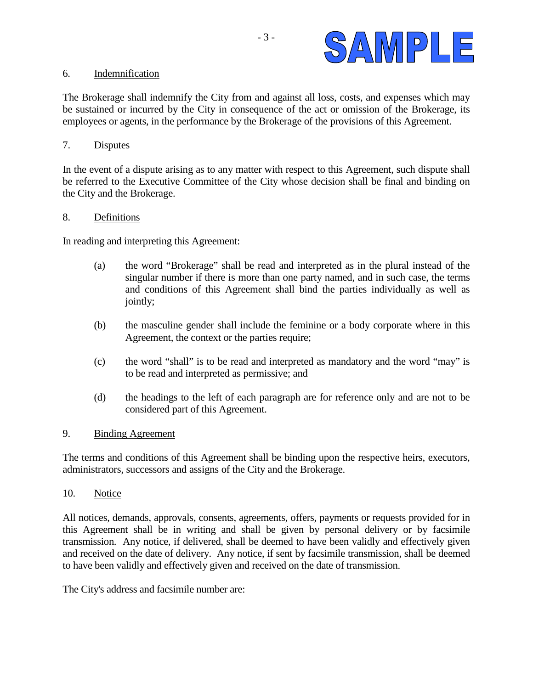

#### 6. Indemnification

The Brokerage shall indemnify the City from and against all loss, costs, and expenses which may be sustained or incurred by the City in consequence of the act or omission of the Brokerage, its employees or agents, in the performance by the Brokerage of the provisions of this Agreement.

## 7. Disputes

In the event of a dispute arising as to any matter with respect to this Agreement, such dispute shall be referred to the Executive Committee of the City whose decision shall be final and binding on the City and the Brokerage.

#### 8. Definitions

In reading and interpreting this Agreement:

- (a) the word "Brokerage" shall be read and interpreted as in the plural instead of the singular number if there is more than one party named, and in such case, the terms and conditions of this Agreement shall bind the parties individually as well as jointly;
- (b) the masculine gender shall include the feminine or a body corporate where in this Agreement, the context or the parties require;
- (c) the word "shall" is to be read and interpreted as mandatory and the word "may" is to be read and interpreted as permissive; and
- (d) the headings to the left of each paragraph are for reference only and are not to be considered part of this Agreement.

#### 9. Binding Agreement

The terms and conditions of this Agreement shall be binding upon the respective heirs, executors, administrators, successors and assigns of the City and the Brokerage.

10. Notice

All notices, demands, approvals, consents, agreements, offers, payments or requests provided for in this Agreement shall be in writing and shall be given by personal delivery or by facsimile transmission. Any notice, if delivered, shall be deemed to have been validly and effectively given and received on the date of delivery. Any notice, if sent by facsimile transmission, shall be deemed to have been validly and effectively given and received on the date of transmission.

The City's address and facsimile number are: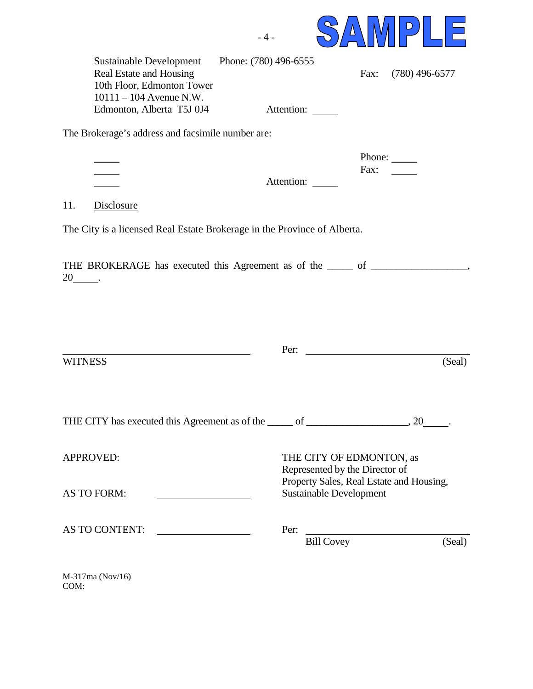

|                                                                                                        | $\mathsf{D}$                                                                                                                 |  |
|--------------------------------------------------------------------------------------------------------|------------------------------------------------------------------------------------------------------------------------------|--|
| Phone: (780) 496-6555<br>10th Floor, Edmonton Tower                                                    | $(780)$ 496-6577<br>Fax:                                                                                                     |  |
| Attention:                                                                                             |                                                                                                                              |  |
| The Brokerage's address and facsimile number are:                                                      |                                                                                                                              |  |
| Attention:                                                                                             | Phone: $\_\_$<br>Fax:                                                                                                        |  |
|                                                                                                        |                                                                                                                              |  |
| The City is a licensed Real Estate Brokerage in the Province of Alberta.                               |                                                                                                                              |  |
|                                                                                                        |                                                                                                                              |  |
| Per:                                                                                                   | (Seal)                                                                                                                       |  |
|                                                                                                        |                                                                                                                              |  |
| THE CITY has executed this Agreement as of the same of successive matter as $(20 \ldots, 20 \ldots)$ . |                                                                                                                              |  |
|                                                                                                        | THE CITY OF EDMONTON, as<br>Represented by the Director of                                                                   |  |
| <b>Sustainable Development</b>                                                                         |                                                                                                                              |  |
| AS TO CONTENT:<br>Per:                                                                                 | Bill Covey<br>(Seal)                                                                                                         |  |
|                                                                                                        | THE BROKERAGE has executed this Agreement as of the _____ of ___________________<br>Property Sales, Real Estate and Housing, |  |

M-317ma (Nov/16) COM: